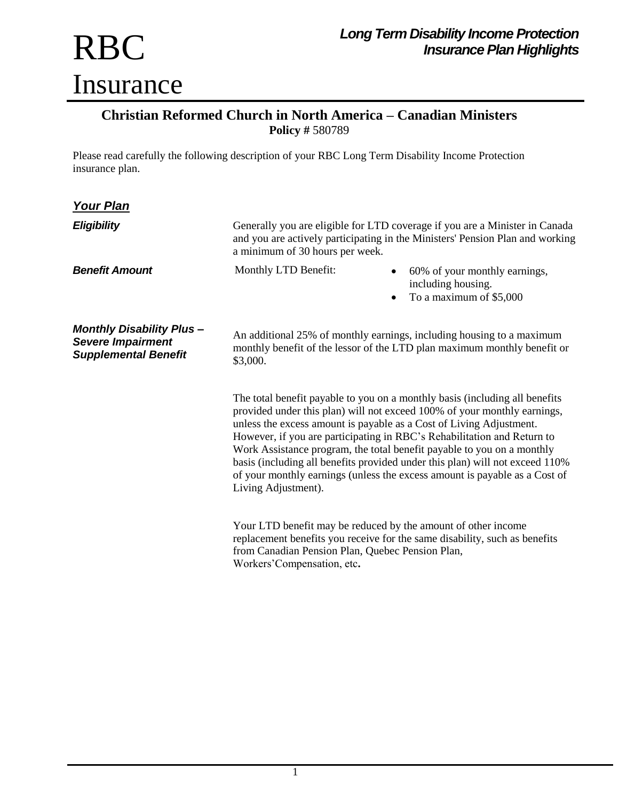## RBC Insurance

## **Christian Reformed Church in North America – Canadian Ministers Policy #** 580789

Please read carefully the following description of your RBC Long Term Disability Income Protection insurance plan.

| <u> Your Plan</u>                                                                          |                                                                                                                                                                                                                                                                                                                                                                                                                                                                                                                                                                          |                                                                                                                                                   |
|--------------------------------------------------------------------------------------------|--------------------------------------------------------------------------------------------------------------------------------------------------------------------------------------------------------------------------------------------------------------------------------------------------------------------------------------------------------------------------------------------------------------------------------------------------------------------------------------------------------------------------------------------------------------------------|---------------------------------------------------------------------------------------------------------------------------------------------------|
| <b>Eligibility</b>                                                                         | Generally you are eligible for LTD coverage if you are a Minister in Canada<br>and you are actively participating in the Ministers' Pension Plan and working<br>a minimum of 30 hours per week.                                                                                                                                                                                                                                                                                                                                                                          |                                                                                                                                                   |
| <b>Benefit Amount</b>                                                                      | Monthly LTD Benefit:                                                                                                                                                                                                                                                                                                                                                                                                                                                                                                                                                     | 60% of your monthly earnings,<br>including housing.<br>To a maximum of \$5,000                                                                    |
| <b>Monthly Disability Plus-</b><br><b>Severe Impairment</b><br><b>Supplemental Benefit</b> | \$3,000.                                                                                                                                                                                                                                                                                                                                                                                                                                                                                                                                                                 | An additional 25% of monthly earnings, including housing to a maximum<br>monthly benefit of the lessor of the LTD plan maximum monthly benefit or |
|                                                                                            | The total benefit payable to you on a monthly basis (including all benefits<br>provided under this plan) will not exceed 100% of your monthly earnings,<br>unless the excess amount is payable as a Cost of Living Adjustment.<br>However, if you are participating in RBC's Rehabilitation and Return to<br>Work Assistance program, the total benefit payable to you on a monthly<br>basis (including all benefits provided under this plan) will not exceed 110%<br>of your monthly earnings (unless the excess amount is payable as a Cost of<br>Living Adjustment). |                                                                                                                                                   |
|                                                                                            | from Canadian Pension Plan, Quebec Pension Plan,                                                                                                                                                                                                                                                                                                                                                                                                                                                                                                                         | Your LTD benefit may be reduced by the amount of other income<br>replacement benefits you receive for the same disability, such as benefits       |

Workers'Compensation, etc**.**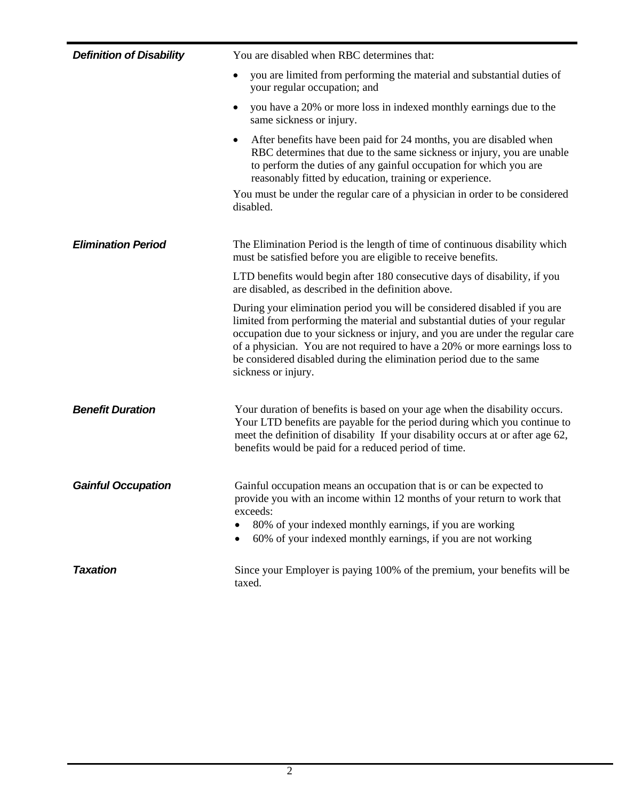| <b>Definition of Disability</b> | You are disabled when RBC determines that:                                                                                                                                                                                                                                                                                                                                                                              |
|---------------------------------|-------------------------------------------------------------------------------------------------------------------------------------------------------------------------------------------------------------------------------------------------------------------------------------------------------------------------------------------------------------------------------------------------------------------------|
|                                 | you are limited from performing the material and substantial duties of<br>٠<br>your regular occupation; and                                                                                                                                                                                                                                                                                                             |
|                                 | you have a 20% or more loss in indexed monthly earnings due to the<br>٠<br>same sickness or injury.                                                                                                                                                                                                                                                                                                                     |
|                                 | After benefits have been paid for 24 months, you are disabled when<br>٠<br>RBC determines that due to the same sickness or injury, you are unable<br>to perform the duties of any gainful occupation for which you are<br>reasonably fitted by education, training or experience.                                                                                                                                       |
|                                 | You must be under the regular care of a physician in order to be considered<br>disabled.                                                                                                                                                                                                                                                                                                                                |
| <b>Elimination Period</b>       | The Elimination Period is the length of time of continuous disability which<br>must be satisfied before you are eligible to receive benefits.                                                                                                                                                                                                                                                                           |
|                                 | LTD benefits would begin after 180 consecutive days of disability, if you<br>are disabled, as described in the definition above.                                                                                                                                                                                                                                                                                        |
|                                 | During your elimination period you will be considered disabled if you are<br>limited from performing the material and substantial duties of your regular<br>occupation due to your sickness or injury, and you are under the regular care<br>of a physician. You are not required to have a 20% or more earnings loss to<br>be considered disabled during the elimination period due to the same<br>sickness or injury. |
| <b>Benefit Duration</b>         | Your duration of benefits is based on your age when the disability occurs.<br>Your LTD benefits are payable for the period during which you continue to<br>meet the definition of disability If your disability occurs at or after age 62,<br>benefits would be paid for a reduced period of time.                                                                                                                      |
| <b>Gainful Occupation</b>       | Gainful occupation means an occupation that is or can be expected to<br>provide you with an income within 12 months of your return to work that<br>exceeds:<br>80% of your indexed monthly earnings, if you are working<br>60% of your indexed monthly earnings, if you are not working                                                                                                                                 |
| <b>Taxation</b>                 | Since your Employer is paying 100% of the premium, your benefits will be<br>taxed.                                                                                                                                                                                                                                                                                                                                      |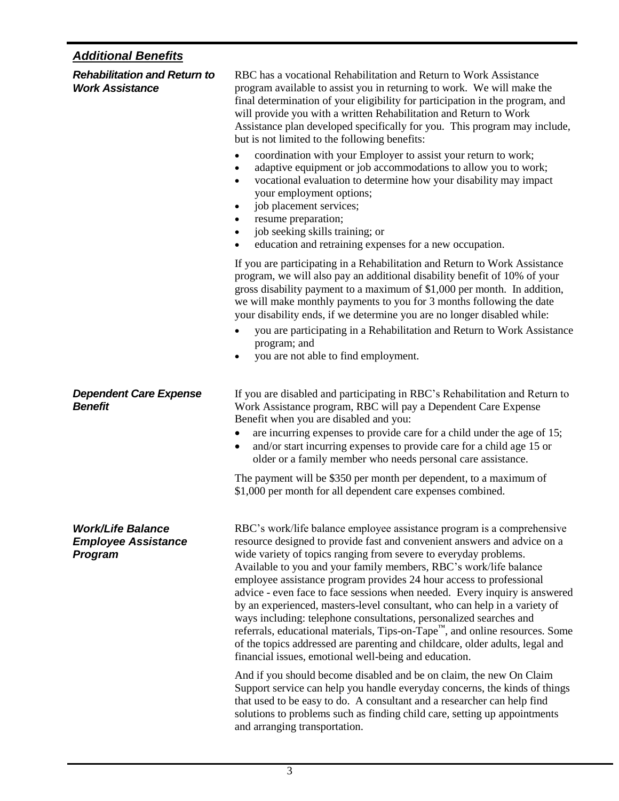## *Additional Benefits*

| <b>Rehabilitation and Return to</b><br><b>Work Assistance</b>            | RBC has a vocational Rehabilitation and Return to Work Assistance<br>program available to assist you in returning to work. We will make the<br>final determination of your eligibility for participation in the program, and<br>will provide you with a written Rehabilitation and Return to Work<br>Assistance plan developed specifically for you. This program may include,<br>but is not limited to the following benefits:                                                                                                                                                                                                                                                                                                                                                                                                          |  |
|--------------------------------------------------------------------------|------------------------------------------------------------------------------------------------------------------------------------------------------------------------------------------------------------------------------------------------------------------------------------------------------------------------------------------------------------------------------------------------------------------------------------------------------------------------------------------------------------------------------------------------------------------------------------------------------------------------------------------------------------------------------------------------------------------------------------------------------------------------------------------------------------------------------------------|--|
|                                                                          | coordination with your Employer to assist your return to work;<br>$\bullet$<br>adaptive equipment or job accommodations to allow you to work;<br>٠<br>vocational evaluation to determine how your disability may impact<br>$\bullet$<br>your employment options;<br>job placement services;<br>$\bullet$<br>resume preparation;<br>job seeking skills training; or<br>$\bullet$<br>education and retraining expenses for a new occupation.<br>$\bullet$                                                                                                                                                                                                                                                                                                                                                                                  |  |
|                                                                          | If you are participating in a Rehabilitation and Return to Work Assistance<br>program, we will also pay an additional disability benefit of 10% of your<br>gross disability payment to a maximum of \$1,000 per month. In addition,<br>we will make monthly payments to you for 3 months following the date<br>your disability ends, if we determine you are no longer disabled while:                                                                                                                                                                                                                                                                                                                                                                                                                                                   |  |
|                                                                          | you are participating in a Rehabilitation and Return to Work Assistance<br>program; and<br>you are not able to find employment.<br>$\bullet$                                                                                                                                                                                                                                                                                                                                                                                                                                                                                                                                                                                                                                                                                             |  |
| <b>Dependent Care Expense</b><br><b>Benefit</b>                          | If you are disabled and participating in RBC's Rehabilitation and Return to<br>Work Assistance program, RBC will pay a Dependent Care Expense<br>Benefit when you are disabled and you:<br>are incurring expenses to provide care for a child under the age of 15;<br>$\bullet$<br>and/or start incurring expenses to provide care for a child age 15 or<br>٠<br>older or a family member who needs personal care assistance.                                                                                                                                                                                                                                                                                                                                                                                                            |  |
|                                                                          | The payment will be \$350 per month per dependent, to a maximum of<br>\$1,000 per month for all dependent care expenses combined.                                                                                                                                                                                                                                                                                                                                                                                                                                                                                                                                                                                                                                                                                                        |  |
| <b>Work/Life Balance</b><br><b>Employee Assistance</b><br><b>Program</b> | RBC's work/life balance employee assistance program is a comprehensive<br>resource designed to provide fast and convenient answers and advice on a<br>wide variety of topics ranging from severe to everyday problems.<br>Available to you and your family members, RBC's work/life balance<br>employee assistance program provides 24 hour access to professional<br>advice - even face to face sessions when needed. Every inquiry is answered<br>by an experienced, masters-level consultant, who can help in a variety of<br>ways including: telephone consultations, personalized searches and<br>referrals, educational materials, Tips-on-Tape <sup>™</sup> , and online resources. Some<br>of the topics addressed are parenting and childcare, older adults, legal and<br>financial issues, emotional well-being and education. |  |
|                                                                          | And if you should become disabled and be on claim, the new On Claim<br>Support service can help you handle everyday concerns, the kinds of things<br>that used to be easy to do. A consultant and a researcher can help find<br>solutions to problems such as finding child care, setting up appointments<br>and arranging transportation.                                                                                                                                                                                                                                                                                                                                                                                                                                                                                               |  |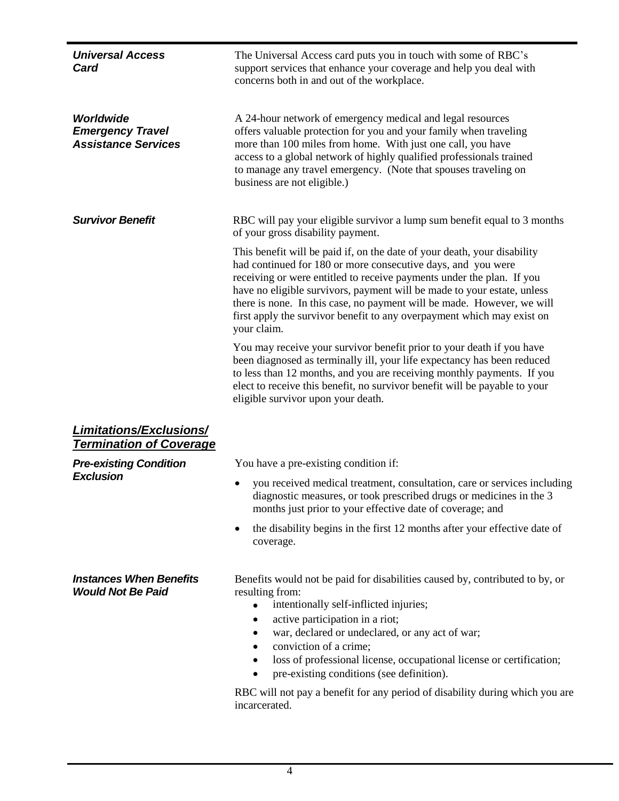| <b>Universal Access</b><br>Card                                    | The Universal Access card puts you in touch with some of RBC's<br>support services that enhance your coverage and help you deal with<br>concerns both in and out of the workplace.                                                                                                                                                                                                                                                                                                                                                    |
|--------------------------------------------------------------------|---------------------------------------------------------------------------------------------------------------------------------------------------------------------------------------------------------------------------------------------------------------------------------------------------------------------------------------------------------------------------------------------------------------------------------------------------------------------------------------------------------------------------------------|
| Worldwide<br><b>Emergency Travel</b><br><b>Assistance Services</b> | A 24-hour network of emergency medical and legal resources<br>offers valuable protection for you and your family when traveling<br>more than 100 miles from home. With just one call, you have<br>access to a global network of highly qualified professionals trained<br>to manage any travel emergency. (Note that spouses traveling on<br>business are not eligible.)                                                                                                                                                              |
| <b>Survivor Benefit</b>                                            | RBC will pay your eligible survivor a lump sum benefit equal to 3 months<br>of your gross disability payment.                                                                                                                                                                                                                                                                                                                                                                                                                         |
|                                                                    | This benefit will be paid if, on the date of your death, your disability<br>had continued for 180 or more consecutive days, and you were<br>receiving or were entitled to receive payments under the plan. If you<br>have no eligible survivors, payment will be made to your estate, unless<br>there is none. In this case, no payment will be made. However, we will<br>first apply the survivor benefit to any overpayment which may exist on<br>your claim.                                                                       |
|                                                                    | You may receive your survivor benefit prior to your death if you have<br>been diagnosed as terminally ill, your life expectancy has been reduced<br>to less than 12 months, and you are receiving monthly payments. If you<br>elect to receive this benefit, no survivor benefit will be payable to your<br>eligible survivor upon your death.                                                                                                                                                                                        |
| <b>Limitations/Exclusions/</b><br><b>Termination of Coverage</b>   |                                                                                                                                                                                                                                                                                                                                                                                                                                                                                                                                       |
| <b>Pre-existing Condition</b>                                      | You have a pre-existing condition if:                                                                                                                                                                                                                                                                                                                                                                                                                                                                                                 |
| <b>Exclusion</b>                                                   | you received medical treatment, consultation, care or services including<br>diagnostic measures, or took prescribed drugs or medicines in the 3<br>months just prior to your effective date of coverage; and                                                                                                                                                                                                                                                                                                                          |
|                                                                    | the disability begins in the first 12 months after your effective date of<br>$\bullet$<br>coverage.                                                                                                                                                                                                                                                                                                                                                                                                                                   |
| <b>Instances When Benefits</b><br><b>Would Not Be Paid</b>         | Benefits would not be paid for disabilities caused by, contributed to by, or<br>resulting from:<br>intentionally self-inflicted injuries;<br>$\bullet$<br>active participation in a riot;<br>٠<br>war, declared or undeclared, or any act of war;<br>٠<br>conviction of a crime;<br>$\bullet$<br>loss of professional license, occupational license or certification;<br>٠<br>pre-existing conditions (see definition).<br>$\bullet$<br>RBC will not pay a benefit for any period of disability during which you are<br>incarcerated. |